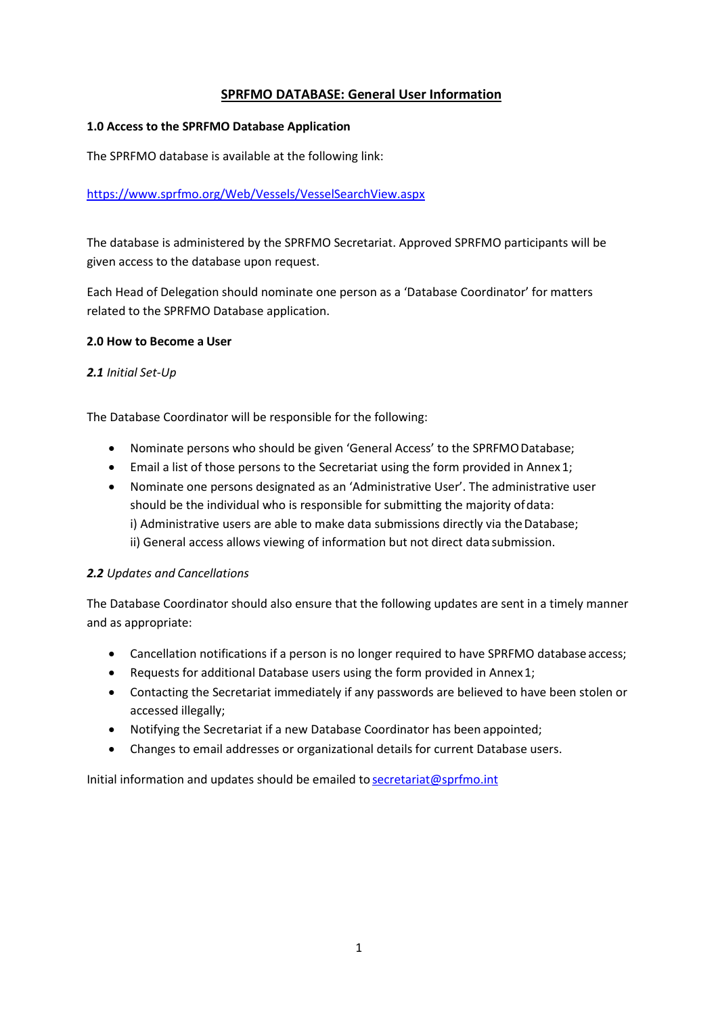# **SPRFMO DATABASE: General User Information**

## **1.0 Access to the SPRFMO Database Application**

The SPRFMO database is available at the following link:

# <https://www.sprfmo.org/Web/Vessels/VesselSearchView.aspx>

The database is administered by the SPRFMO Secretariat. Approved SPRFMO participants will be given access to the database upon request.

Each Head of Delegation should nominate one person as a 'Database Coordinator' for matters related to the SPRFMO Database application.

## **2.0 How to Become a User**

## *2.1 Initial Set-Up*

The Database Coordinator will be responsible for the following:

- Nominate persons who should be given 'General Access' to the SPRFMODatabase;
- Email a list of those persons to the Secretariat using the form provided in Annex1;
- Nominate one persons designated as an 'Administrative User'. The administrative user should be the individual who is responsible for submitting the majority ofdata: i) Administrative users are able to make data submissions directly via the Database; ii) General access allows viewing of information but not direct data submission.

# *2.2 Updates and Cancellations*

The Database Coordinator should also ensure that the following updates are sent in a timely manner and as appropriate:

- Cancellation notifications if a person is no longer required to have SPRFMO database access;
- Requests for additional Database users using the form provided in Annex1;
- Contacting the Secretariat immediately if any passwords are believed to have been stolen or accessed illegally;
- Notifying the Secretariat if a new Database Coordinator has been appointed;
- Changes to email addresses or organizational details for current Database users.

Initial information and updates should be emailed to secretariat@sprfmo.int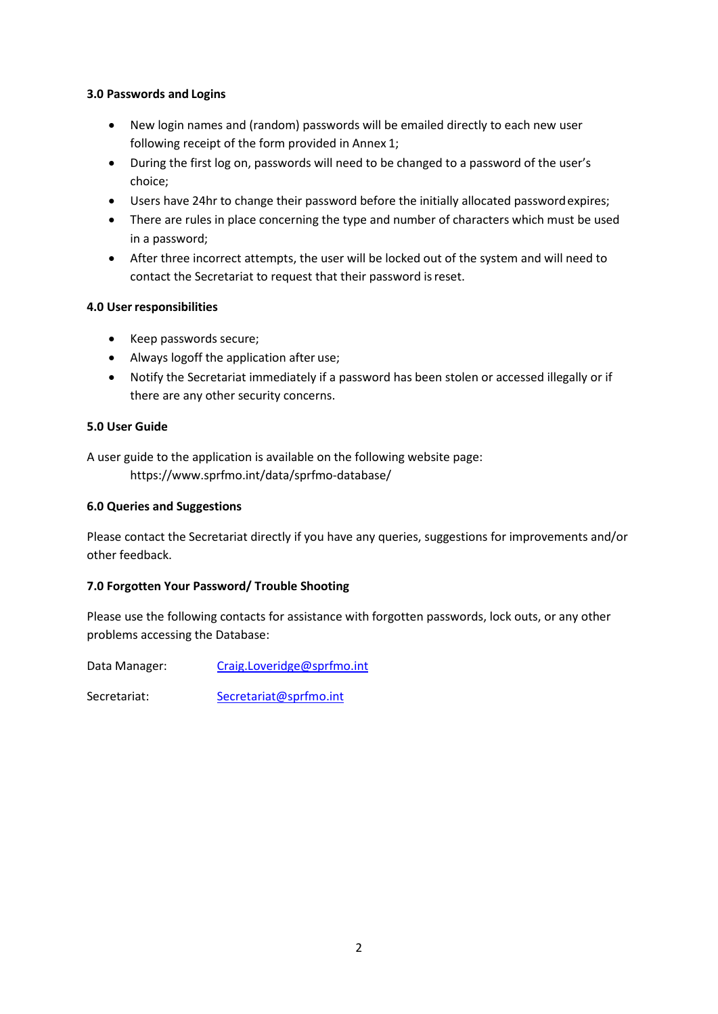# **3.0 Passwords and Logins**

- New login names and (random) passwords will be emailed directly to each new user following receipt of the form provided in Annex 1;
- During the first log on, passwords will need to be changed to a password of the user's choice;
- Users have 24hr to change their password before the initially allocated passwordexpires;
- There are rules in place concerning the type and number of characters which must be used in a password;
- After three incorrect attempts, the user will be locked out of the system and will need to contact the Secretariat to request that their password isreset.

# **4.0 User responsibilities**

- Keep passwords secure;
- Always logoff the application after use;
- Notify the Secretariat immediately if a password has been stolen or accessed illegally or if there are any other security concerns.

## **5.0 User Guide**

A user guide to the application is available on the following website page: https://www.sprfmo.int/data/sprfmo-database/

## **6.0 Queries and Suggestions**

Please contact the Secretariat directly if you have any queries, suggestions for improvements and/or other feedback.

# **7.0 Forgotten Your Password/ Trouble Shooting**

Please use the following contacts for assistance with forgotten passwords, lock outs, or any other problems accessing the Database:

Data Manager: [Craig.Loveridge@sprfmo.int](mailto:Craig.Loveridge@sprfmo.int)

Secretariat: Secretariat@sprfmo.int